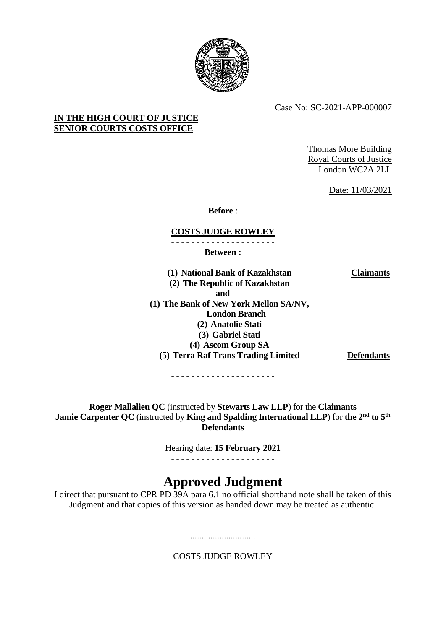

Case No: SC-2021-APP-000007

# **IN THE HIGH COURT OF JUSTICE SENIOR COURTS COSTS OFFICE**

Thomas More Building Royal Courts of Justice London WC2A 2LL

Date: 11/03/2021

**Before** :

# **COSTS JUDGE ROWLEY**

- - - - - - - - - - - - - - - - - - - - -

**Between :**

**(1) National Bank of Kazakhstan (2) The Republic of Kazakhstan - and - (1) The Bank of New York Mellon SA/NV, London Branch (2) Anatolie Stati (3) Gabriel Stati (4) Ascom Group SA (5) Terra Raf Trans Trading Limited Defendants**

**Claimants**

- - - - - - - - - - - - - - - - - - - - - - - - - - - - - - - - - - - - - - - - - -

**Roger Mallalieu QC** (instructed by **Stewarts Law LLP**) for the **Claimants Jamie Carpenter QC** (instructed by **King and Spalding International LLP**) for **the 2 nd to 5th Defendants**

Hearing date: **15 February 2021**

- - - - - - - - - - - - - - - - - - - - -

# **Approved Judgment**

I direct that pursuant to CPR PD 39A para 6.1 no official shorthand note shall be taken of this Judgment and that copies of this version as handed down may be treated as authentic.

COSTS JUDGE ROWLEY

.............................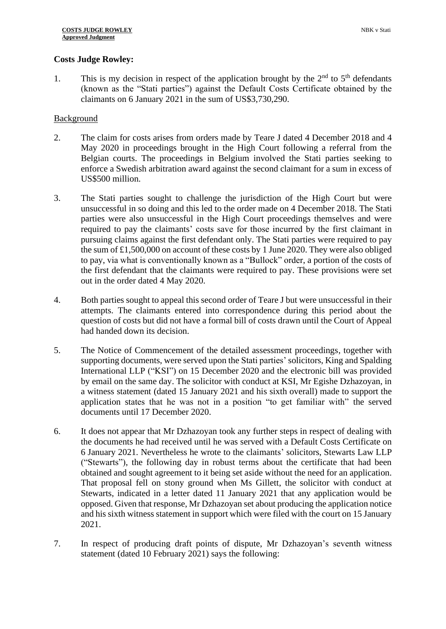## **Costs Judge Rowley:**

1. This is my decision in respect of the application brought by the  $2<sup>nd</sup>$  to  $5<sup>th</sup>$  defendants (known as the "Stati parties") against the Default Costs Certificate obtained by the claimants on 6 January 2021 in the sum of US\$3,730,290.

### Background

- 2. The claim for costs arises from orders made by Teare J dated 4 December 2018 and 4 May 2020 in proceedings brought in the High Court following a referral from the Belgian courts. The proceedings in Belgium involved the Stati parties seeking to enforce a Swedish arbitration award against the second claimant for a sum in excess of US\$500 million.
- 3. The Stati parties sought to challenge the jurisdiction of the High Court but were unsuccessful in so doing and this led to the order made on 4 December 2018. The Stati parties were also unsuccessful in the High Court proceedings themselves and were required to pay the claimants' costs save for those incurred by the first claimant in pursuing claims against the first defendant only. The Stati parties were required to pay the sum of £1,500,000 on account of these costs by 1 June 2020. They were also obliged to pay, via what is conventionally known as a "Bullock" order, a portion of the costs of the first defendant that the claimants were required to pay. These provisions were set out in the order dated 4 May 2020.
- 4. Both parties sought to appeal this second order of Teare J but were unsuccessful in their attempts. The claimants entered into correspondence during this period about the question of costs but did not have a formal bill of costs drawn until the Court of Appeal had handed down its decision.
- 5. The Notice of Commencement of the detailed assessment proceedings, together with supporting documents, were served upon the Stati parties' solicitors, King and Spalding International LLP ("KSI") on 15 December 2020 and the electronic bill was provided by email on the same day. The solicitor with conduct at KSI, Mr Egishe Dzhazoyan, in a witness statement (dated 15 January 2021 and his sixth overall) made to support the application states that he was not in a position "to get familiar with" the served documents until 17 December 2020.
- 6. It does not appear that Mr Dzhazoyan took any further steps in respect of dealing with the documents he had received until he was served with a Default Costs Certificate on 6 January 2021. Nevertheless he wrote to the claimants' solicitors, Stewarts Law LLP ("Stewarts"), the following day in robust terms about the certificate that had been obtained and sought agreement to it being set aside without the need for an application. That proposal fell on stony ground when Ms Gillett, the solicitor with conduct at Stewarts, indicated in a letter dated 11 January 2021 that any application would be opposed. Given that response, Mr Dzhazoyan set about producing the application notice and his sixth witness statement in support which were filed with the court on 15 January 2021.
- 7. In respect of producing draft points of dispute, Mr Dzhazoyan's seventh witness statement (dated 10 February 2021) says the following: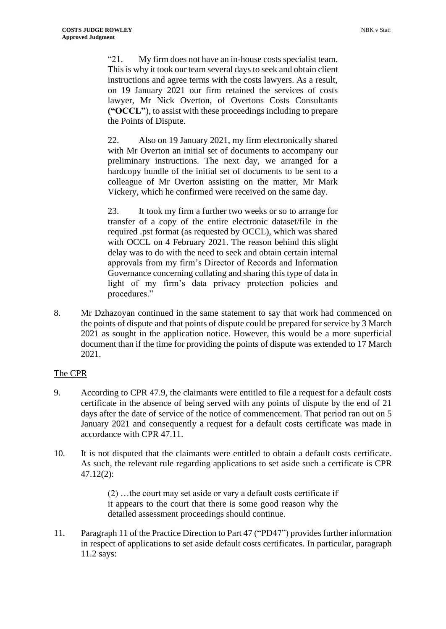"21. My firm does not have an in-house costs specialist team. This is why it took our team several days to seek and obtain client instructions and agree terms with the costs lawyers. As a result, on 19 January 2021 our firm retained the services of costs lawyer, Mr Nick Overton, of Overtons Costs Consultants **("OCCL"**), to assist with these proceedings including to prepare the Points of Dispute.

22. Also on 19 January 2021, my firm electronically shared with Mr Overton an initial set of documents to accompany our preliminary instructions. The next day, we arranged for a hardcopy bundle of the initial set of documents to be sent to a colleague of Mr Overton assisting on the matter, Mr Mark Vickery, which he confirmed were received on the same day.

23. It took my firm a further two weeks or so to arrange for transfer of a copy of the entire electronic dataset/file in the required .pst format (as requested by OCCL), which was shared with OCCL on 4 February 2021. The reason behind this slight delay was to do with the need to seek and obtain certain internal approvals from my firm's Director of Records and Information Governance concerning collating and sharing this type of data in light of my firm's data privacy protection policies and procedures."

8. Mr Dzhazoyan continued in the same statement to say that work had commenced on the points of dispute and that points of dispute could be prepared for service by 3 March 2021 as sought in the application notice. However, this would be a more superficial document than if the time for providing the points of dispute was extended to 17 March 2021.

# The CPR

- 9. According to CPR 47.9, the claimants were entitled to file a request for a default costs certificate in the absence of being served with any points of dispute by the end of 21 days after the date of service of the notice of commencement. That period ran out on 5 January 2021 and consequently a request for a default costs certificate was made in accordance with CPR 47.11.
- 10. It is not disputed that the claimants were entitled to obtain a default costs certificate. As such, the relevant rule regarding applications to set aside such a certificate is CPR 47.12(2):

(2) …the court may set aside or vary a default costs certificate if it appears to the court that there is some good reason why the detailed assessment proceedings should continue.

11. Paragraph 11 of the Practice Direction to Part 47 ("PD47") provides further information in respect of applications to set aside default costs certificates. In particular, paragraph 11.2 says: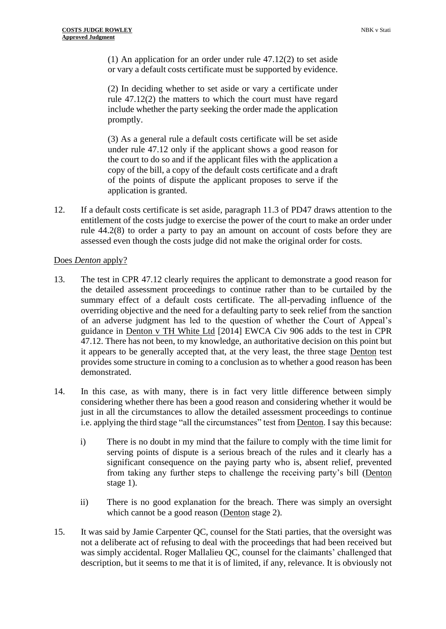(1) An application for an order under rule 47.12(2) to set aside or vary a default costs certificate must be supported by evidence.

(2) In deciding whether to set aside or vary a certificate under rule 47.12(2) the matters to which the court must have regard include whether the party seeking the order made the application promptly.

(3) As a general rule a default costs certificate will be set aside under rule 47.12 only if the applicant shows a good reason for the court to do so and if the applicant files with the application a copy of the bill, a copy of the default costs certificate and a draft of the points of dispute the applicant proposes to serve if the application is granted.

12. If a default costs certificate is set aside, paragraph 11.3 of PD47 draws attention to the entitlement of the costs judge to exercise the power of the court to make an order under rule 44.2(8) to order a party to pay an amount on account of costs before they are assessed even though the costs judge did not make the original order for costs.

## Does *Denton* apply?

- 13. The test in CPR 47.12 clearly requires the applicant to demonstrate a good reason for the detailed assessment proceedings to continue rather than to be curtailed by the summary effect of a default costs certificate. The all-pervading influence of the overriding objective and the need for a defaulting party to seek relief from the sanction of an adverse judgment has led to the question of whether the Court of Appeal's guidance in Denton v TH White Ltd [2014] EWCA Civ 906 adds to the test in CPR 47.12. There has not been, to my knowledge, an authoritative decision on this point but it appears to be generally accepted that, at the very least, the three stage Denton test provides some structure in coming to a conclusion as to whether a good reason has been demonstrated.
- 14. In this case, as with many, there is in fact very little difference between simply considering whether there has been a good reason and considering whether it would be just in all the circumstances to allow the detailed assessment proceedings to continue i.e. applying the third stage "all the circumstances" test from Denton. I say this because:
	- i) There is no doubt in my mind that the failure to comply with the time limit for serving points of dispute is a serious breach of the rules and it clearly has a significant consequence on the paying party who is, absent relief, prevented from taking any further steps to challenge the receiving party's bill (Denton stage 1).
	- ii) There is no good explanation for the breach. There was simply an oversight which cannot be a good reason (Denton stage 2).
- 15. It was said by Jamie Carpenter QC, counsel for the Stati parties, that the oversight was not a deliberate act of refusing to deal with the proceedings that had been received but was simply accidental. Roger Mallalieu QC, counsel for the claimants' challenged that description, but it seems to me that it is of limited, if any, relevance. It is obviously not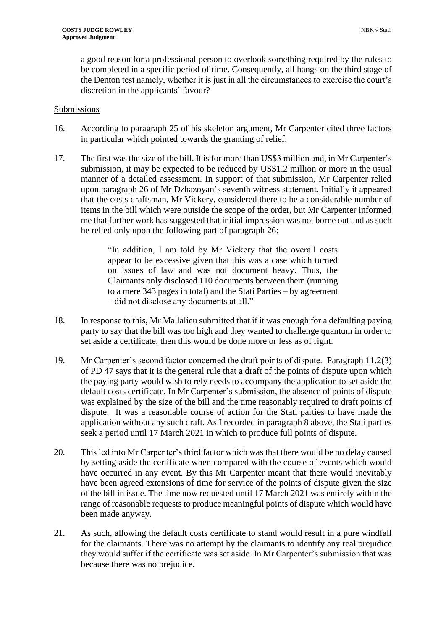a good reason for a professional person to overlook something required by the rules to be completed in a specific period of time. Consequently, all hangs on the third stage of the Denton test namely, whether it is just in all the circumstances to exercise the court's discretion in the applicants' favour?

#### Submissions

- 16. According to paragraph 25 of his skeleton argument, Mr Carpenter cited three factors in particular which pointed towards the granting of relief.
- 17. The first was the size of the bill. It is for more than US\$3 million and, in Mr Carpenter's submission, it may be expected to be reduced by US\$1.2 million or more in the usual manner of a detailed assessment. In support of that submission, Mr Carpenter relied upon paragraph 26 of Mr Dzhazoyan's seventh witness statement. Initially it appeared that the costs draftsman, Mr Vickery, considered there to be a considerable number of items in the bill which were outside the scope of the order, but Mr Carpenter informed me that further work has suggested that initial impression was not borne out and as such he relied only upon the following part of paragraph 26:

"In addition, I am told by Mr Vickery that the overall costs appear to be excessive given that this was a case which turned on issues of law and was not document heavy. Thus, the Claimants only disclosed 110 documents between them (running to a mere 343 pages in total) and the Stati Parties – by agreement – did not disclose any documents at all."

- 18. In response to this, Mr Mallalieu submitted that if it was enough for a defaulting paying party to say that the bill was too high and they wanted to challenge quantum in order to set aside a certificate, then this would be done more or less as of right.
- 19. Mr Carpenter's second factor concerned the draft points of dispute. Paragraph 11.2(3) of PD 47 says that it is the general rule that a draft of the points of dispute upon which the paying party would wish to rely needs to accompany the application to set aside the default costs certificate. In Mr Carpenter's submission, the absence of points of dispute was explained by the size of the bill and the time reasonably required to draft points of dispute. It was a reasonable course of action for the Stati parties to have made the application without any such draft. As I recorded in paragraph 8 above, the Stati parties seek a period until 17 March 2021 in which to produce full points of dispute.
- 20. This led into Mr Carpenter's third factor which was that there would be no delay caused by setting aside the certificate when compared with the course of events which would have occurred in any event. By this Mr Carpenter meant that there would inevitably have been agreed extensions of time for service of the points of dispute given the size of the bill in issue. The time now requested until 17 March 2021 was entirely within the range of reasonable requests to produce meaningful points of dispute which would have been made anyway.
- 21. As such, allowing the default costs certificate to stand would result in a pure windfall for the claimants. There was no attempt by the claimants to identify any real prejudice they would suffer if the certificate was set aside. In Mr Carpenter's submission that was because there was no prejudice.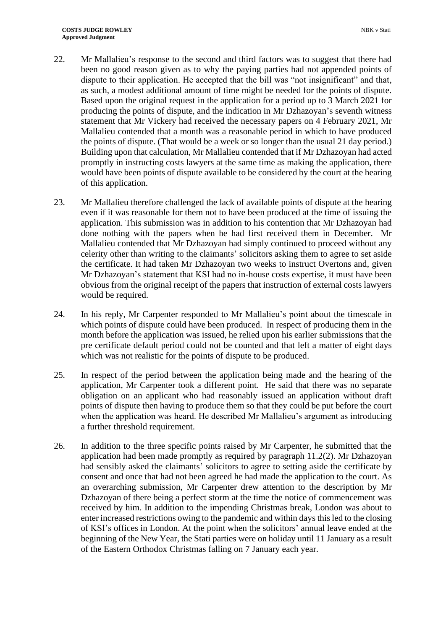- 22. Mr Mallalieu's response to the second and third factors was to suggest that there had been no good reason given as to why the paying parties had not appended points of dispute to their application. He accepted that the bill was "not insignificant" and that, as such, a modest additional amount of time might be needed for the points of dispute. Based upon the original request in the application for a period up to 3 March 2021 for producing the points of dispute, and the indication in Mr Dzhazoyan's seventh witness statement that Mr Vickery had received the necessary papers on 4 February 2021, Mr Mallalieu contended that a month was a reasonable period in which to have produced the points of dispute. (That would be a week or so longer than the usual 21 day period.) Building upon that calculation, Mr Mallalieu contended that if Mr Dzhazoyan had acted promptly in instructing costs lawyers at the same time as making the application, there would have been points of dispute available to be considered by the court at the hearing of this application.
- 23. Mr Mallalieu therefore challenged the lack of available points of dispute at the hearing even if it was reasonable for them not to have been produced at the time of issuing the application. This submission was in addition to his contention that Mr Dzhazoyan had done nothing with the papers when he had first received them in December. Mr Mallalieu contended that Mr Dzhazoyan had simply continued to proceed without any celerity other than writing to the claimants' solicitors asking them to agree to set aside the certificate. It had taken Mr Dzhazoyan two weeks to instruct Overtons and, given Mr Dzhazoyan's statement that KSI had no in-house costs expertise, it must have been obvious from the original receipt of the papers that instruction of external costs lawyers would be required.
- 24. In his reply, Mr Carpenter responded to Mr Mallalieu's point about the timescale in which points of dispute could have been produced. In respect of producing them in the month before the application was issued, he relied upon his earlier submissions that the pre certificate default period could not be counted and that left a matter of eight days which was not realistic for the points of dispute to be produced.
- 25. In respect of the period between the application being made and the hearing of the application, Mr Carpenter took a different point. He said that there was no separate obligation on an applicant who had reasonably issued an application without draft points of dispute then having to produce them so that they could be put before the court when the application was heard. He described Mr Mallalieu's argument as introducing a further threshold requirement.
- 26. In addition to the three specific points raised by Mr Carpenter, he submitted that the application had been made promptly as required by paragraph 11.2(2). Mr Dzhazoyan had sensibly asked the claimants' solicitors to agree to setting aside the certificate by consent and once that had not been agreed he had made the application to the court. As an overarching submission, Mr Carpenter drew attention to the description by Mr Dzhazoyan of there being a perfect storm at the time the notice of commencement was received by him. In addition to the impending Christmas break, London was about to enter increased restrictions owing to the pandemic and within days this led to the closing of KSI's offices in London. At the point when the solicitors' annual leave ended at the beginning of the New Year, the Stati parties were on holiday until 11 January as a result of the Eastern Orthodox Christmas falling on 7 January each year.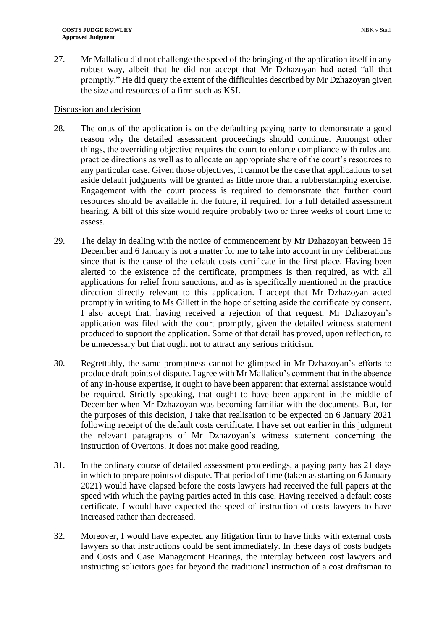27. Mr Mallalieu did not challenge the speed of the bringing of the application itself in any robust way, albeit that he did not accept that Mr Dzhazoyan had acted "all that promptly." He did query the extent of the difficulties described by Mr Dzhazoyan given the size and resources of a firm such as KSI.

#### Discussion and decision

- 28. The onus of the application is on the defaulting paying party to demonstrate a good reason why the detailed assessment proceedings should continue. Amongst other things, the overriding objective requires the court to enforce compliance with rules and practice directions as well as to allocate an appropriate share of the court's resources to any particular case. Given those objectives, it cannot be the case that applications to set aside default judgments will be granted as little more than a rubberstamping exercise. Engagement with the court process is required to demonstrate that further court resources should be available in the future, if required, for a full detailed assessment hearing. A bill of this size would require probably two or three weeks of court time to assess.
- 29. The delay in dealing with the notice of commencement by Mr Dzhazoyan between 15 December and 6 January is not a matter for me to take into account in my deliberations since that is the cause of the default costs certificate in the first place. Having been alerted to the existence of the certificate, promptness is then required, as with all applications for relief from sanctions, and as is specifically mentioned in the practice direction directly relevant to this application. I accept that Mr Dzhazoyan acted promptly in writing to Ms Gillett in the hope of setting aside the certificate by consent. I also accept that, having received a rejection of that request, Mr Dzhazoyan's application was filed with the court promptly, given the detailed witness statement produced to support the application. Some of that detail has proved, upon reflection, to be unnecessary but that ought not to attract any serious criticism.
- 30. Regrettably, the same promptness cannot be glimpsed in Mr Dzhazoyan's efforts to produce draft points of dispute. I agree with Mr Mallalieu's comment that in the absence of any in-house expertise, it ought to have been apparent that external assistance would be required. Strictly speaking, that ought to have been apparent in the middle of December when Mr Dzhazoyan was becoming familiar with the documents. But, for the purposes of this decision, I take that realisation to be expected on 6 January 2021 following receipt of the default costs certificate. I have set out earlier in this judgment the relevant paragraphs of Mr Dzhazoyan's witness statement concerning the instruction of Overtons. It does not make good reading.
- 31. In the ordinary course of detailed assessment proceedings, a paying party has 21 days in which to prepare points of dispute. That period of time (taken as starting on 6 January 2021) would have elapsed before the costs lawyers had received the full papers at the speed with which the paying parties acted in this case. Having received a default costs certificate, I would have expected the speed of instruction of costs lawyers to have increased rather than decreased.
- 32. Moreover, I would have expected any litigation firm to have links with external costs lawyers so that instructions could be sent immediately. In these days of costs budgets and Costs and Case Management Hearings, the interplay between cost lawyers and instructing solicitors goes far beyond the traditional instruction of a cost draftsman to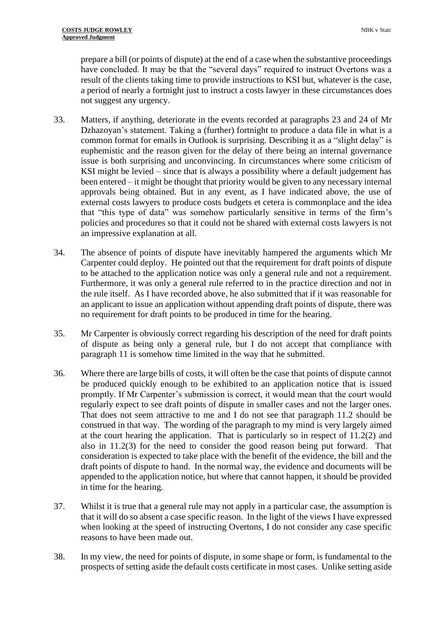prepare a bill (or points of dispute) at the end of a case when the substantive proceedings have concluded. It may be that the "several days" required to instruct Overtons was a result of the clients taking time to provide instructions to KSI but, whatever is the case, a period of nearly a fortnight just to instruct a costs lawyer in these circumstances does not suggest any urgency.

- 33. Matters, if anything, deteriorate in the events recorded at paragraphs 23 and 24 of Mr Dzhazoyan's statement. Taking a (further) fortnight to produce a data file in what is a common format for emails in Outlook is surprising. Describing it as a "slight delay" is euphemistic and the reason given for the delay of there being an internal governance issue is both surprising and unconvincing. In circumstances where some criticism of KSI might be levied – since that is always a possibility where a default judgement has been entered – it might be thought that priority would be given to any necessary internal approvals being obtained. But in any event, as I have indicated above, the use of external costs lawyers to produce costs budgets et cetera is commonplace and the idea that "this type of data" was somehow particularly sensitive in terms of the firm's policies and procedures so that it could not be shared with external costs lawyers is not an impressive explanation at all.
- 34. The absence of points of dispute have inevitably hampered the arguments which Mr Carpenter could deploy. He pointed out that the requirement for draft points of dispute to be attached to the application notice was only a general rule and not a requirement. Furthermore, it was only a general rule referred to in the practice direction and not in the rule itself. As I have recorded above, he also submitted that if it was reasonable for an applicant to issue an application without appending draft points of dispute, there was no requirement for draft points to be produced in time for the hearing.
- 35. Mr Carpenter is obviously correct regarding his description of the need for draft points of dispute as being only a general rule, but I do not accept that compliance with paragraph 11 is somehow time limited in the way that he submitted.
- 36. Where there are large bills of costs, it will often be the case that points of dispute cannot be produced quickly enough to be exhibited to an application notice that is issued promptly. If Mr Carpenter's submission is correct, it would mean that the court would regularly expect to see draft points of dispute in smaller cases and not the larger ones. That does not seem attractive to me and I do not see that paragraph 11.2 should be construed in that way. The wording of the paragraph to my mind is very largely aimed at the court hearing the application. That is particularly so in respect of 11.2(2) and also in 11.2(3) for the need to consider the good reason being put forward. That consideration is expected to take place with the benefit of the evidence, the bill and the draft points of dispute to hand. In the normal way, the evidence and documents will be appended to the application notice, but where that cannot happen, it should be provided in time for the hearing.
- 37. Whilst it is true that a general rule may not apply in a particular case, the assumption is that it will do so absent a case specific reason. In the light of the views I have expressed when looking at the speed of instructing Overtons, I do not consider any case specific reasons to have been made out.
- 38. In my view, the need for points of dispute, in some shape or form, is fundamental to the prospects of setting aside the default costs certificate in most cases. Unlike setting aside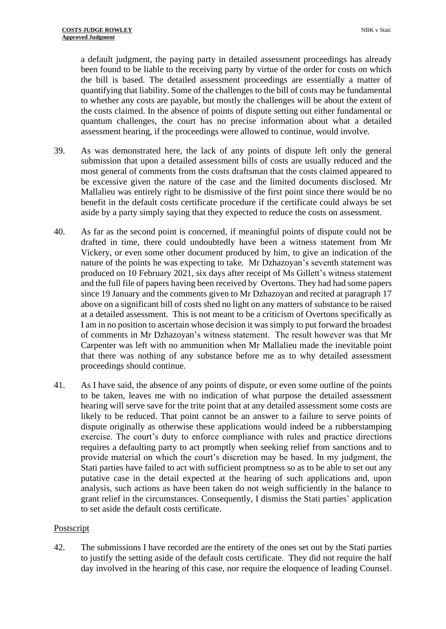a default judgment, the paying party in detailed assessment proceedings has already been found to be liable to the receiving party by virtue of the order for costs on which the bill is based. The detailed assessment proceedings are essentially a matter of quantifying that liability. Some of the challenges to the bill of costs may be fundamental to whether any costs are payable, but mostly the challenges will be about the extent of the costs claimed. In the absence of points of dispute setting out either fundamental or quantum challenges, the court has no precise information about what a detailed assessment hearing, if the proceedings were allowed to continue, would involve.

- 39. As was demonstrated here, the lack of any points of dispute left only the general submission that upon a detailed assessment bills of costs are usually reduced and the most general of comments from the costs draftsman that the costs claimed appeared to be excessive given the nature of the case and the limited documents disclosed. Mr Mallalieu was entirely right to be dismissive of the first point since there would be no benefit in the default costs certificate procedure if the certificate could always be set aside by a party simply saying that they expected to reduce the costs on assessment.
- 40. As far as the second point is concerned, if meaningful points of dispute could not be drafted in time, there could undoubtedly have been a witness statement from Mr Vickery, or even some other document produced by him, to give an indication of the nature of the points he was expecting to take. Mr Dzhazoyan's seventh statement was produced on 10 February 2021, six days after receipt of Ms Gillett's witness statement and the full file of papers having been received by Overtons. They had had some papers since 19 January and the comments given to Mr Dzhazoyan and recited at paragraph 17 above on a significant bill of costs shed no light on any matters of substance to be raised at a detailed assessment. This is not meant to be a criticism of Overtons specifically as I am in no position to ascertain whose decision it was simply to put forward the broadest of comments in Mr Dzhazoyan's witness statement. The result however was that Mr Carpenter was left with no ammunition when Mr Mallalieu made the inevitable point that there was nothing of any substance before me as to why detailed assessment proceedings should continue.
- 41. As I have said, the absence of any points of dispute, or even some outline of the points to be taken, leaves me with no indication of what purpose the detailed assessment hearing will serve save for the trite point that at any detailed assessment some costs are likely to be reduced. That point cannot be an answer to a failure to serve points of dispute originally as otherwise these applications would indeed be a rubberstamping exercise. The court's duty to enforce compliance with rules and practice directions requires a defaulting party to act promptly when seeking relief from sanctions and to provide material on which the court's discretion may be based. In my judgment, the Stati parties have failed to act with sufficient promptness so as to be able to set out any putative case in the detail expected at the hearing of such applications and, upon analysis, such actions as have been taken do not weigh sufficiently in the balance to grant relief in the circumstances. Consequently, I dismiss the Stati parties' application to set aside the default costs certificate.

#### Postscript

42. The submissions I have recorded are the entirety of the ones set out by the Stati parties to justify the setting aside of the default costs certificate. They did not require the half day involved in the hearing of this case, nor require the eloquence of leading Counsel.